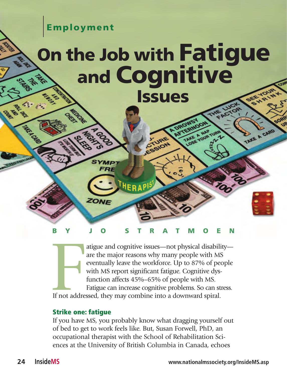**Employment**

# **On the Job with Fatigue and Cognitive Issues**



HERAPI

If not addre atigue and cognitive issues—not physical disability are the major reasons why many people with MS eventually leave the workforce. Up to 87% of people with MS report significant fatigue. Cognitive dysfunction affects 45%–65% of people with MS. Fatigue can increase cognitive problems. So can stress. If not addressed, they may combine into a downward spiral.

### **Strike one: fatigue**

ZONE

If you have MS, you probably know what dragging yourself out of bed to get to work feels like. But, Susan Forwell, PhD, an occupational therapist with the School of Rehabilitation Sciences at the University of British Columbia in Canada, echoes

TAKE A CARD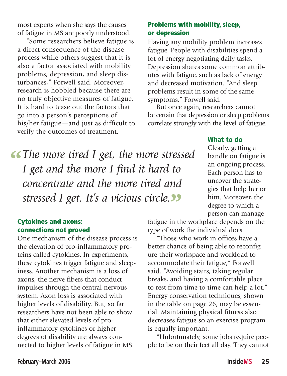most experts when she says the causes of fatigue in MS are poorly understood.

"Some researchers believe fatigue is a direct consequence of the disease process while others suggest that it is also a factor associated with mobility problems, depression, and sleep disturbances," Forwell said. Moreover, research is hobbled because there are no truly objective measures of fatigue. It is hard to tease out the factors that go into a person's perceptions of his/her fatigue—and just as difficult to verify the outcomes of treatment.

# **Problems with mobility, sleep, or depression**

Having any mobility problem increases fatigue. People with disabilities spend a lot of energy negotiating daily tasks. Depression shares some common attributes with fatigue, such as lack of energy and decreased motivation. "And sleep problems result in some of the same symptoms," Forwell said.

But once again, researchers cannot be certain that depression or sleep problems correlate strongly with the **level** of fatigue.

*'fThe more tired I get, the more stressed I get and the more I find it hard to concentrate and the more tired and stressed I get. It's a vicious circle.***''**

#### **Cytokines and axons: connections not proved**

One mechanism of the disease process is the elevation of pro-inflammatory proteins called cytokines. In experiments, these cytokines trigger fatigue and sleepiness. Another mechanism is a loss of axons, the nerve fibers that conduct impulses through the central nervous system. Axon loss is associated with higher levels of disability. But, so far researchers have not been able to show that either elevated levels of proinflammatory cytokines or higher degrees of disability are always connected to higher levels of fatigue in MS.

Clearly, getting a handle on fatigue is an ongoing process. Each person has to uncover the strategies that help her or

him. Moreover, the degree to which a person can manage

**What to do**

fatigue in the workplace depends on the type of work the individual does.

"Those who work in offices have a better chance of being able to reconfigure their workspace and workload to accommodate their fatigue," Forwell said. "Avoiding stairs, taking regular breaks, and having a comfortable place to rest from time to time can help a lot." Energy conservation techniques, shown in the table on page 26, may be essential. Maintaining physical fitness also decreases fatigue so an exercise program is equally important.

"Unfortunately, some jobs require people to be on their feet all day. They cannot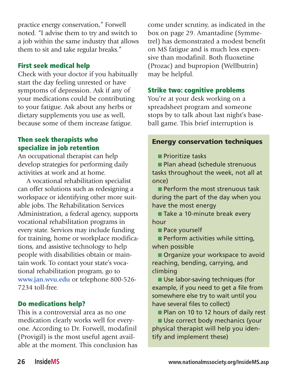practice energy conservation," Forwell noted. "I advise them to try and switch to a job within the same industry that allows them to sit and take regular breaks."

## **First seek medical help**

Check with your doctor if you habitually start the day feeling unrested or have symptoms of depression. Ask if any of your medications could be contributing to your fatigue. Ask about any herbs or dietary supplements you use as well, because some of them increase fatigue.

# **Then seek therapists who specialize in job retention**

An occupational therapist can help develop strategies for performing daily activities at work and at home.

A vocational rehabilitation specialist can offer solutions such as redesigning a workspace or identifying other more suitable jobs. The Rehabilitation Services Administration, a federal agency, supports vocational rehabilitation programs in every state. Services may include funding for training, home or workplace modifications, and assistive technology to help people with disabilities obtain or maintain work. To contact your state's vocational rehabilitation program, go to **www.jan.wvu.edu** or telephone 800-526- 7234 toll-free.

# **Do medications help?**

This is a controversial area as no one medication clearly works well for everyone. According to Dr. Forwell, modafinil (Provigil) is the most useful agent available at the moment. This conclusion has come under scrutiny, as indicated in the box on page 29. Amantadine (Symmetrel) has demonstrated a modest benefit on MS fatigue and is much less expensive than modafinil. Both fluoxetine (Prozac) and bupropion (Wellbutrin) may be helpful.

# **Strike two: cognitive problems**

You're at your desk working on a spreadsheet program and someone stops by to talk about last night's baseball game. This brief interruption is

# **Energy conservation techniques**

■ Prioritize tasks

■ Plan ahead (schedule strenuous tasks throughout the week, not all at once)

■ Perform the most strenuous task during the part of the day when you have the most energy

■ Take a 10-minute break every hour

■ Pace yourself

■ Perform activities while sitting, when possible

■ Organize your workspace to avoid reaching, bending, carrying, and climbing

■ Use labor-saving techniques (for example, if you need to get a file from somewhere else try to wait until you have several files to collect)

■ Plan on 10 to 12 hours of daily rest

■ Use correct body mechanics (your physical therapist will help you identify and implement these)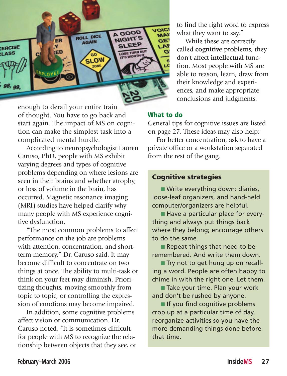

enough to derail your entire train of thought. You have to go back and start again. The impact of MS on cognition can make the simplest task into a complicated mental hurdle.

According to neuropsychologist Lauren Caruso, PhD, people with MS exhibit varying degrees and types of cognitive problems depending on where lesions are seen in their brains and whether atrophy, or loss of volume in the brain, has occurred. Magnetic resonance imaging (MRI) studies have helped clarify why many people with MS experience cognitive dysfunction.

"The most common problems to affect performance on the job are problems with attention, concentration, and shortterm memory," Dr. Caruso said. It may become difficult to concentrate on two things at once. The ability to multi-task or think on your feet may diminish. Prioritizing thoughts, moving smoothly from topic to topic, or controlling the expression of emotions may become impaired.

In addition, some cognitive problems affect vision or communication. Dr. Caruso noted, "It is sometimes difficult for people with MS to recognize the relationship between objects that they see, or to find the right word to express what they want to say."

While these are correctly called **cognitive** problems, they don't affect **intellectual** function. Most people with MS are able to reason, learn, draw from their knowledge and experiences, and make appropriate conclusions and judgments.

#### **What to do**

General tips for cognitive issues are listed on page 27. These ideas may also help:

For better concentration, ask to have a private office or a workstation separated from the rest of the gang.

#### **Cognitive strategies**

■ Write everything down: diaries, loose-leaf organizers, and hand-held computer/organizers are helpful.

■ Have a particular place for everything and always put things back where they belong; encourage others to do the same.

■ Repeat things that need to be remembered. And write them down.

■ Try not to get hung up on recalling a word. People are often happy to chime in with the right one. Let them.

■ Take your time. Plan your work and don't be rushed by anyone.

■ If you find cognitive problems crop up at a particular time of day, reorganize activities so you have the more demanding things done before that time.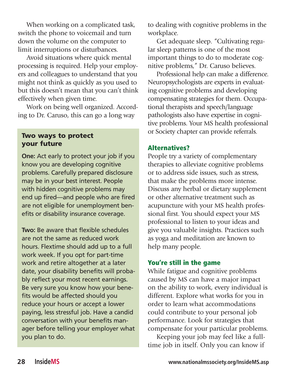When working on a complicated task, switch the phone to voicemail and turn down the volume on the computer to limit interruptions or disturbances.

Avoid situations where quick mental processing is required. Help your employers and colleagues to understand that you might not think as quickly as you used to but this doesn't mean that you can't think effectively when given time.

Work on being well organized. According to Dr. Caruso, this can go a long way

#### **Two ways to protect your future**

**One:** Act early to protect your job if you know you are developing cognitive problems. Carefully prepared disclosure may be in your best interest. People with hidden cognitive problems may end up fired—and people who are fired are not eligible for unemployment benefits or disability insurance coverage.

**Two:** Be aware that flexible schedules are not the same as reduced work hours. Flextime should add up to a full work week. If you opt for part-time work and retire altogether at a later date, your disability benefits will probably reflect your most recent earnings. Be very sure you know how your benefits would be affected should you reduce your hours or accept a lower paying, less stressful job. Have a candid conversation with your benefits manager before telling your employer what you plan to do.

to dealing with cognitive problems in the workplace.

Get adequate sleep. "Cultivating regular sleep patterns is one of the most important things to do to moderate cognitive problems," Dr. Caruso believes.

Professional help can make a difference. Neuropsychologists are experts in evaluating cognitive problems and developing compensating strategies for them. Occupational therapists and speech/language pathologists also have expertise in cognitive problems. Your MS health professional or Society chapter can provide referrals.

## **Alternatives?**

People try a variety of complementary therapies to alleviate cognitive problems or to address side issues, such as stress, that make the problems more intense. Discuss any herbal or dietary supplement or other alternative treatment such as acupuncture with your MS health professional first. You should expect your MS professional to listen to your ideas and give you valuable insights. Practices such as yoga and meditation are known to help many people.

## **You're still in the game**

While fatigue and cognitive problems caused by MS can have a major impact on the ability to work, every individual is different. Explore what works for you in order to learn what accommodations could contribute to your personal job performance. Look for strategies that compensate for your particular problems.

Keeping your job may feel like a fulltime job in itself. Only you can know if